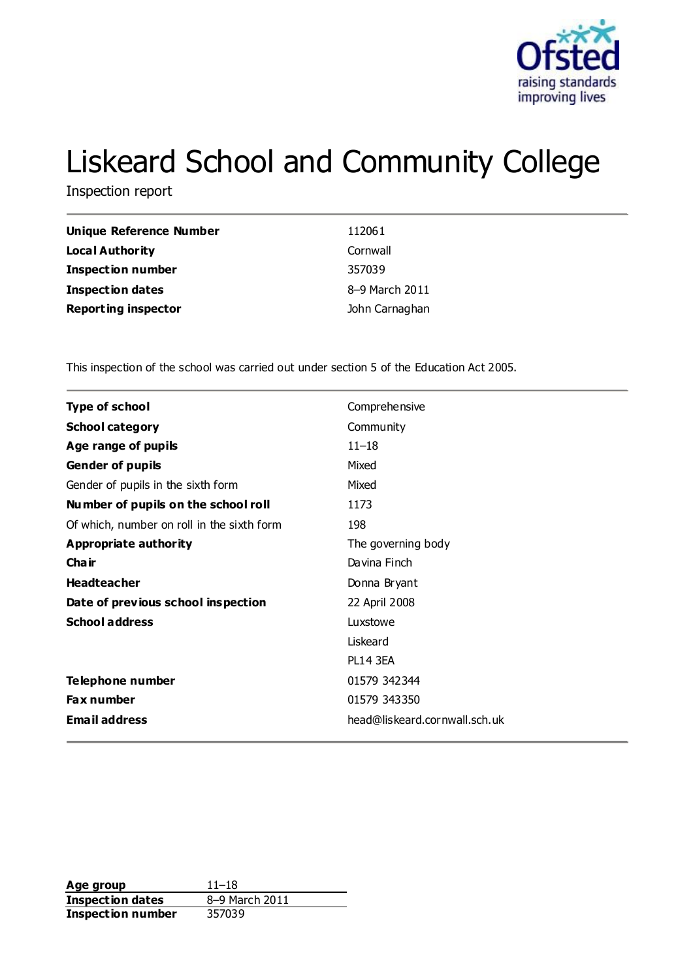

# Liskeard School and Community College

Inspection report

| Unique Reference Number    | 112061         |
|----------------------------|----------------|
| <b>Local Authority</b>     | Cornwall       |
| <b>Inspection number</b>   | 357039         |
| <b>Inspection dates</b>    | 8-9 March 2011 |
| <b>Reporting inspector</b> | John Carnaghan |

This inspection of the school was carried out under section 5 of the Education Act 2005.

| <b>Type of school</b>                      | Comprehensive                 |
|--------------------------------------------|-------------------------------|
| <b>School category</b>                     | Community                     |
| Age range of pupils                        | $11 - 18$                     |
| Gender of pupils                           | Mixed                         |
| Gender of pupils in the sixth form         | Mixed                         |
| Number of pupils on the school roll        | 1173                          |
| Of which, number on roll in the sixth form | 198                           |
| <b>Appropriate authority</b>               | The governing body            |
| Cha ir                                     | Davina Finch                  |
| <b>Headteacher</b>                         | Donna Bryant                  |
| Date of previous school inspection         | 22 April 2008                 |
| <b>School address</b>                      | Luxstowe                      |
|                                            | Liskeard                      |
|                                            | <b>PL14 3EA</b>               |
| Telephone number                           | 01579 342344                  |
| Fax number                                 | 01579 343350                  |
| <b>Email address</b>                       | head@liskeard.cornwall.sch.uk |

**Age group** 11–18<br> **Inspection dates** 8–9 March 2011 **Inspection dates Inspection number** 357039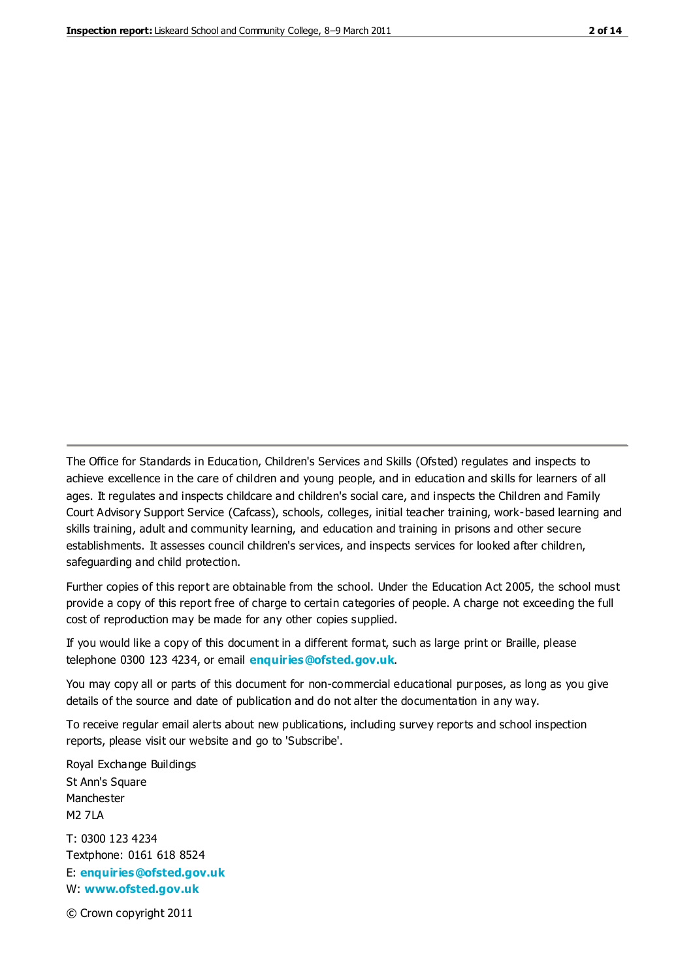The Office for Standards in Education, Children's Services and Skills (Ofsted) regulates and inspects to achieve excellence in the care of children and young people, and in education and skills for learners of all ages. It regulates and inspects childcare and children's social care, and inspects the Children and Family Court Advisory Support Service (Cafcass), schools, colleges, initial teacher training, work-based learning and skills training, adult and community learning, and education and training in prisons and other secure establishments. It assesses council children's services, and inspects services for looked after children, safeguarding and child protection.

Further copies of this report are obtainable from the school. Under the Education Act 2005, the school must provide a copy of this report free of charge to certain categories of people. A charge not exceeding the full cost of reproduction may be made for any other copies supplied.

If you would like a copy of this document in a different format, such as large print or Braille, please telephone 0300 123 4234, or email **[enquiries@ofsted.gov.uk](mailto:enquiries@ofsted.gov.uk)**.

You may copy all or parts of this document for non-commercial educational purposes, as long as you give details of the source and date of publication and do not alter the documentation in any way.

To receive regular email alerts about new publications, including survey reports and school inspection reports, please visit our website and go to 'Subscribe'.

Royal Exchange Buildings St Ann's Square Manchester M2 7LA T: 0300 123 4234 Textphone: 0161 618 8524 E: **[enquiries@ofsted.gov.uk](mailto:enquiries@ofsted.gov.uk)**

W: **[www.ofsted.gov.uk](http://www.ofsted.gov.uk/)**

© Crown copyright 2011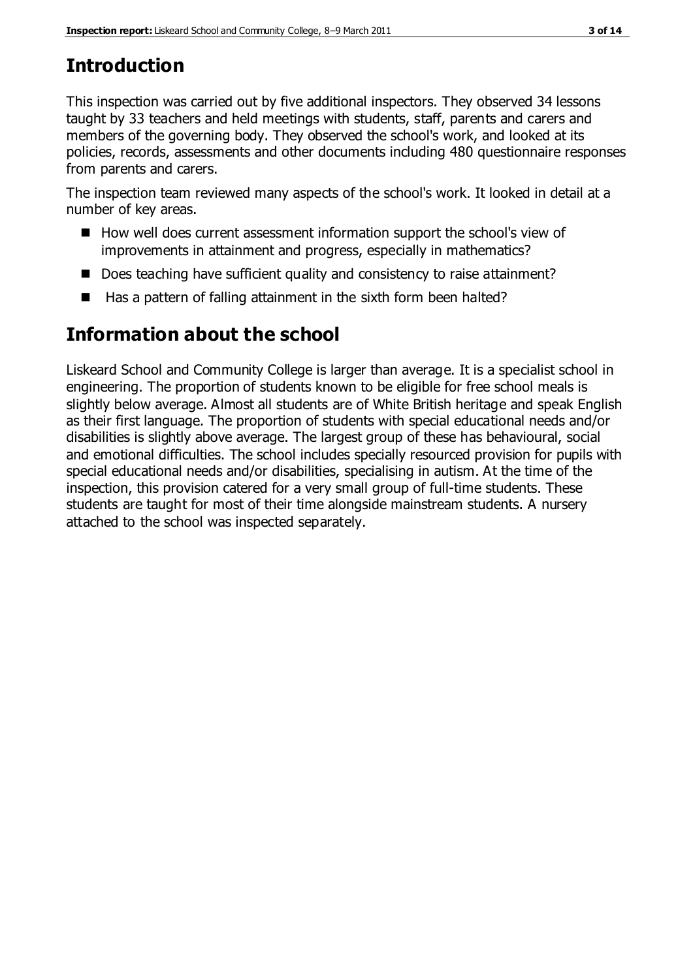# **Introduction**

This inspection was carried out by five additional inspectors. They observed 34 lessons taught by 33 teachers and held meetings with students, staff, parents and carers and members of the governing body. They observed the school's work, and looked at its policies, records, assessments and other documents including 480 questionnaire responses from parents and carers.

The inspection team reviewed many aspects of the school's work. It looked in detail at a number of key areas.

- How well does current assessment information support the school's view of improvements in attainment and progress, especially in mathematics?
- Does teaching have sufficient quality and consistency to raise attainment?
- $\blacksquare$  Has a pattern of falling attainment in the sixth form been halted?

# **Information about the school**

Liskeard School and Community College is larger than average. It is a specialist school in engineering. The proportion of students known to be eligible for free school meals is slightly below average. Almost all students are of White British heritage and speak English as their first language. The proportion of students with special educational needs and/or disabilities is slightly above average. The largest group of these has behavioural, social and emotional difficulties. The school includes specially resourced provision for pupils with special educational needs and/or disabilities, specialising in autism. At the time of the inspection, this provision catered for a very small group of full-time students. These students are taught for most of their time alongside mainstream students. A nursery attached to the school was inspected separately.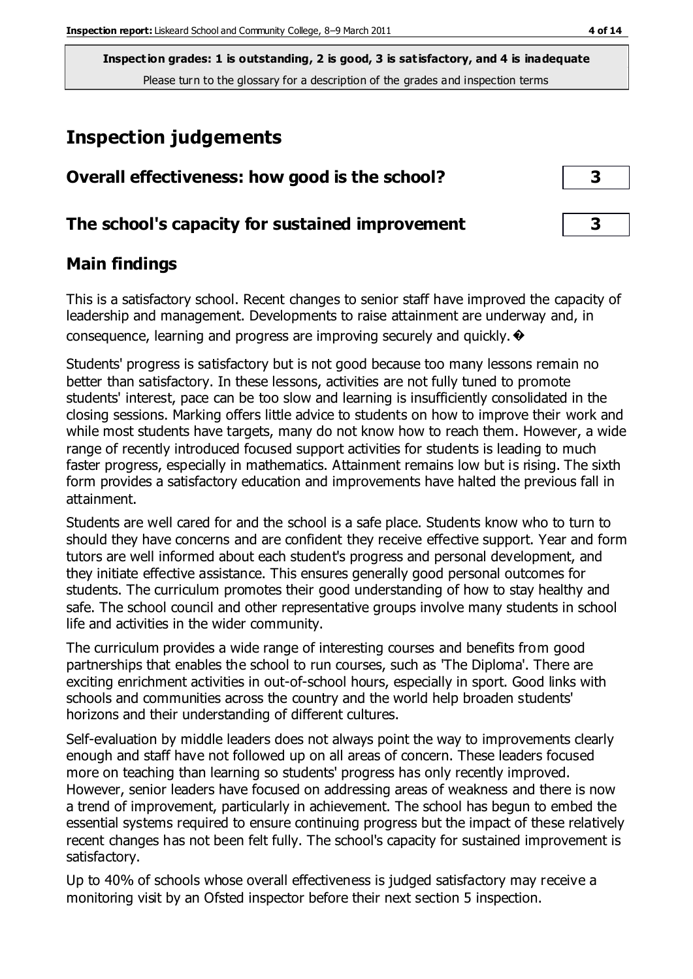# **Inspection judgements**

| Overall effectiveness: how good is the school?  |  |
|-------------------------------------------------|--|
| The school's capacity for sustained improvement |  |

# **Main findings**

This is a satisfactory school. Recent changes to senior staff have improved the capacity of leadership and management. Developments to raise attainment are underway and, in consequence, learning and progress are improving securely and quickly.  $\rightarrow$ 

Students' progress is satisfactory but is not good because too many lessons remain no better than satisfactory. In these lessons, activities are not fully tuned to promote students' interest, pace can be too slow and learning is insufficiently consolidated in the closing sessions. Marking offers little advice to students on how to improve their work and while most students have targets, many do not know how to reach them. However, a wide range of recently introduced focused support activities for students is leading to much faster progress, especially in mathematics. Attainment remains low but is rising. The sixth form provides a satisfactory education and improvements have halted the previous fall in attainment.

Students are well cared for and the school is a safe place. Students know who to turn to should they have concerns and are confident they receive effective support. Year and form tutors are well informed about each student's progress and personal development, and they initiate effective assistance. This ensures generally good personal outcomes for students. The curriculum promotes their good understanding of how to stay healthy and safe. The school council and other representative groups involve many students in school life and activities in the wider community.

The curriculum provides a wide range of interesting courses and benefits from good partnerships that enables the school to run courses, such as 'The Diploma'. There are exciting enrichment activities in out-of-school hours, especially in sport. Good links with schools and communities across the country and the world help broaden students' horizons and their understanding of different cultures.

Self-evaluation by middle leaders does not always point the way to improvements clearly enough and staff have not followed up on all areas of concern. These leaders focused more on teaching than learning so students' progress has only recently improved. However, senior leaders have focused on addressing areas of weakness and there is now a trend of improvement, particularly in achievement. The school has begun to embed the essential systems required to ensure continuing progress but the impact of these relatively recent changes has not been felt fully. The school's capacity for sustained improvement is satisfactory.

Up to 40% of schools whose overall effectiveness is judged satisfactory may receive a monitoring visit by an Ofsted inspector before their next section 5 inspection.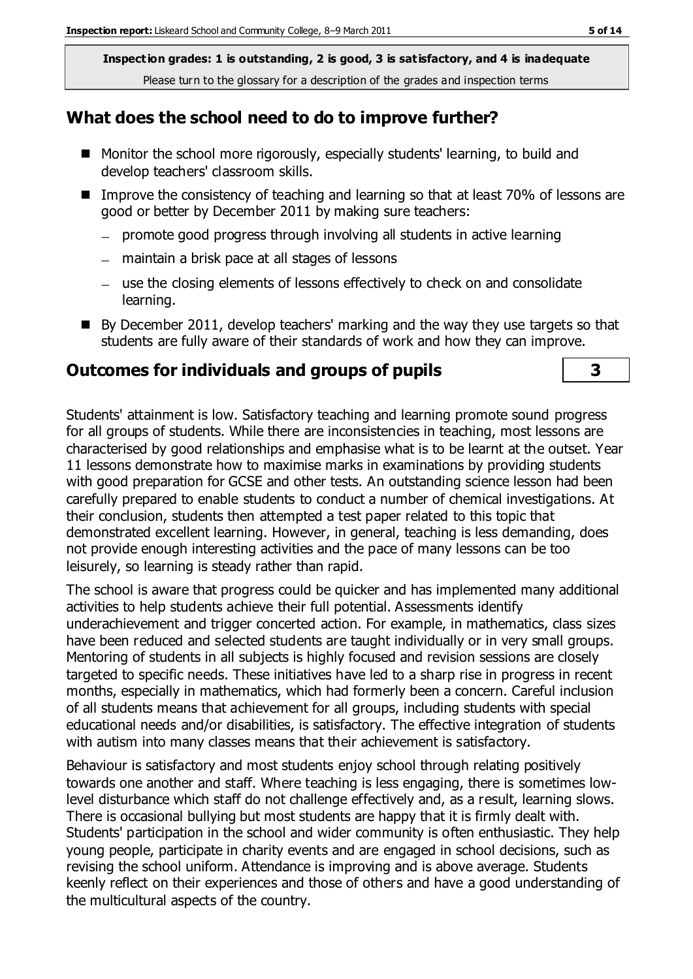## **What does the school need to do to improve further?**

- Monitor the school more rigorously, especially students' learning, to build and develop teachers' classroom skills.
- Improve the consistency of teaching and learning so that at least 70% of lessons are good or better by December 2011 by making sure teachers:
	- promote good progress through involving all students in active learning
	- maintain a brisk pace at all stages of lessons
	- use the closing elements of lessons effectively to check on and consolidate learning.
- $\blacksquare$  By December 2011, develop teachers' marking and the way they use targets so that students are fully aware of their standards of work and how they can improve.

# **Outcomes for individuals and groups of pupils 3**

Students' attainment is low. Satisfactory teaching and learning promote sound progress for all groups of students. While there are inconsistencies in teaching, most lessons are characterised by good relationships and emphasise what is to be learnt at the outset. Year 11 lessons demonstrate how to maximise marks in examinations by providing students with good preparation for GCSE and other tests. An outstanding science lesson had been carefully prepared to enable students to conduct a number of chemical investigations. At their conclusion, students then attempted a test paper related to this topic that demonstrated excellent learning. However, in general, teaching is less demanding, does not provide enough interesting activities and the pace of many lessons can be too leisurely, so learning is steady rather than rapid.

The school is aware that progress could be quicker and has implemented many additional activities to help students achieve their full potential. Assessments identify underachievement and trigger concerted action. For example, in mathematics, class sizes have been reduced and selected students are taught individually or in very small groups. Mentoring of students in all subjects is highly focused and revision sessions are closely targeted to specific needs. These initiatives have led to a sharp rise in progress in recent months, especially in mathematics, which had formerly been a concern. Careful inclusion of all students means that achievement for all groups, including students with special educational needs and/or disabilities, is satisfactory. The effective integration of students with autism into many classes means that their achievement is satisfactory.

Behaviour is satisfactory and most students enjoy school through relating positively towards one another and staff. Where teaching is less engaging, there is sometimes lowlevel disturbance which staff do not challenge effectively and, as a result, learning slows. There is occasional bullying but most students are happy that it is firmly dealt with. Students' participation in the school and wider community is often enthusiastic. They help young people, participate in charity events and are engaged in school decisions, such as revising the school uniform. Attendance is improving and is above average. Students keenly reflect on their experiences and those of others and have a good understanding of the multicultural aspects of the country.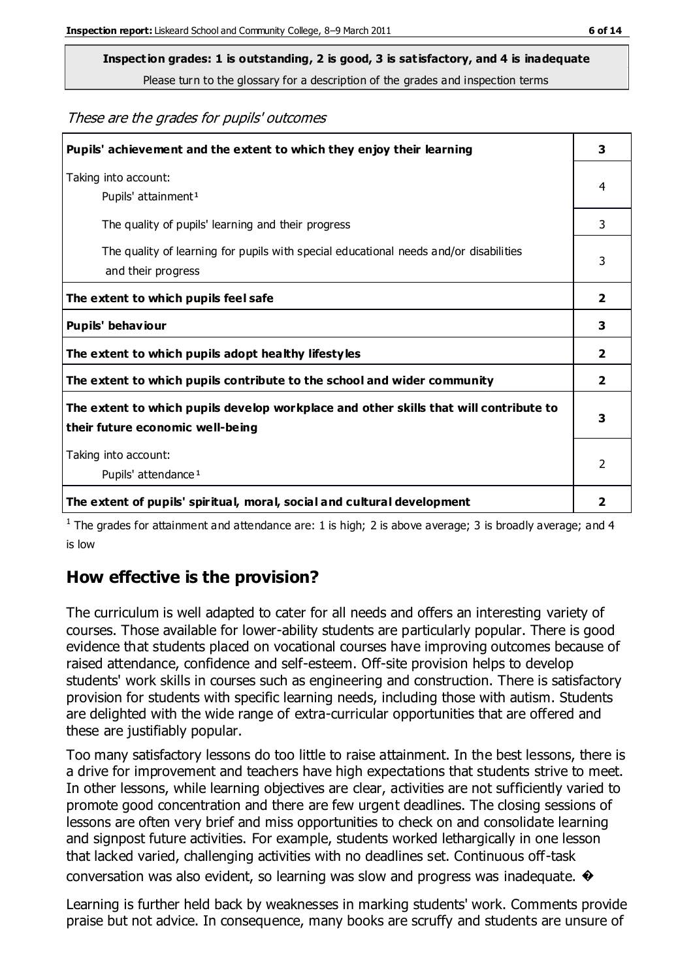**Inspection grades: 1 is outstanding, 2 is good, 3 is satisfactory, and 4 is inadequate**

Please turn to the glossary for a description of the grades and inspection terms

These are the grades for pupils' outcomes

| Pupils' achievement and the extent to which they enjoy their learning                                                     | 3                       |
|---------------------------------------------------------------------------------------------------------------------------|-------------------------|
| Taking into account:<br>Pupils' attainment <sup>1</sup>                                                                   | 4                       |
| The quality of pupils' learning and their progress                                                                        | 3                       |
| The quality of learning for pupils with special educational needs and/or disabilities<br>and their progress               | 3                       |
| The extent to which pupils feel safe                                                                                      | $\mathbf{2}$            |
| Pupils' behaviour                                                                                                         | 3                       |
| The extent to which pupils adopt healthy lifestyles                                                                       | $\overline{\mathbf{2}}$ |
| The extent to which pupils contribute to the school and wider community                                                   | $\mathbf{2}$            |
| The extent to which pupils develop workplace and other skills that will contribute to<br>their future economic well-being | 3                       |
| Taking into account:<br>Pupils' attendance <sup>1</sup>                                                                   | $\mathfrak{p}$          |
| The extent of pupils' spiritual, moral, social and cultural development                                                   | 2                       |

<sup>1</sup> The grades for attainment and attendance are: 1 is high; 2 is above average; 3 is broadly average; and 4 is low

## **How effective is the provision?**

The curriculum is well adapted to cater for all needs and offers an interesting variety of courses. Those available for lower-ability students are particularly popular. There is good evidence that students placed on vocational courses have improving outcomes because of raised attendance, confidence and self-esteem. Off-site provision helps to develop students' work skills in courses such as engineering and construction. There is satisfactory provision for students with specific learning needs, including those with autism. Students are delighted with the wide range of extra-curricular opportunities that are offered and these are justifiably popular.

Too many satisfactory lessons do too little to raise attainment. In the best lessons, there is a drive for improvement and teachers have high expectations that students strive to meet. In other lessons, while learning objectives are clear, activities are not sufficiently varied to promote good concentration and there are few urgent deadlines. The closing sessions of lessons are often very brief and miss opportunities to check on and consolidate learning and signpost future activities. For example, students worked lethargically in one lesson that lacked varied, challenging activities with no deadlines set. Continuous off-task conversation was also evident, so learning was slow and progress was inadequate. �

Learning is further held back by weaknesses in marking students' work. Comments provide praise but not advice. In consequence, many books are scruffy and students are unsure of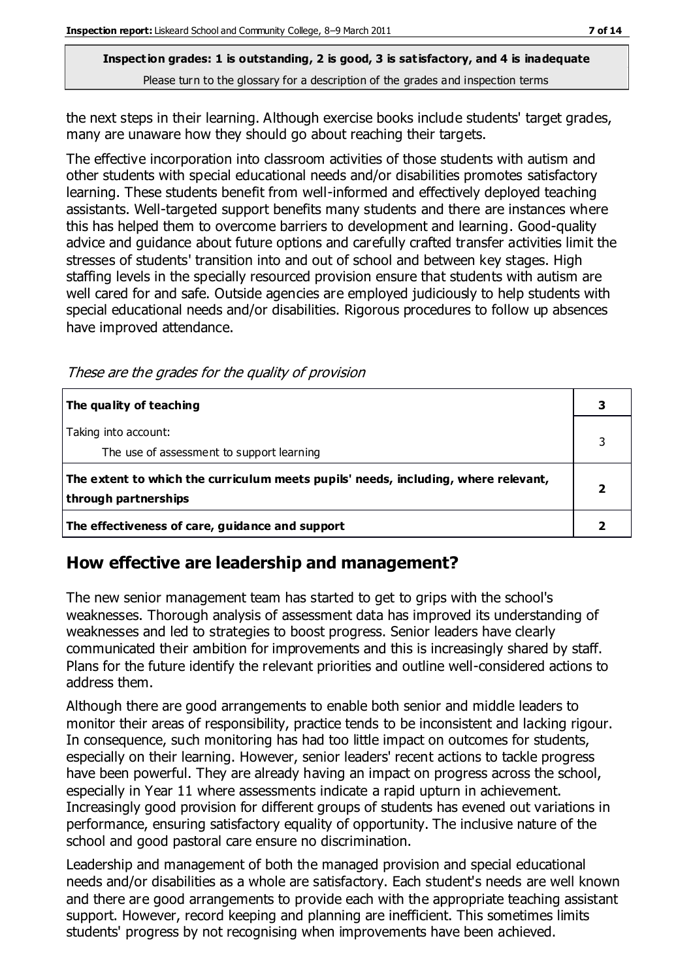the next steps in their learning. Although exercise books include students' target grades, many are unaware how they should go about reaching their targets.

The effective incorporation into classroom activities of those students with autism and other students with special educational needs and/or disabilities promotes satisfactory learning. These students benefit from well-informed and effectively deployed teaching assistants. Well-targeted support benefits many students and there are instances where this has helped them to overcome barriers to development and learning. Good-quality advice and guidance about future options and carefully crafted transfer activities limit the stresses of students' transition into and out of school and between key stages. High staffing levels in the specially resourced provision ensure that students with autism are well cared for and safe. Outside agencies are employed judiciously to help students with special educational needs and/or disabilities. Rigorous procedures to follow up absences have improved attendance.

These are the grades for the quality of provision

| The quality of teaching                                                                                    |  |
|------------------------------------------------------------------------------------------------------------|--|
| Taking into account:<br>The use of assessment to support learning                                          |  |
| The extent to which the curriculum meets pupils' needs, including, where relevant,<br>through partnerships |  |
| The effectiveness of care, guidance and support                                                            |  |

# **How effective are leadership and management?**

The new senior management team has started to get to grips with the school's weaknesses. Thorough analysis of assessment data has improved its understanding of weaknesses and led to strategies to boost progress. Senior leaders have clearly communicated their ambition for improvements and this is increasingly shared by staff. Plans for the future identify the relevant priorities and outline well-considered actions to address them.

Although there are good arrangements to enable both senior and middle leaders to monitor their areas of responsibility, practice tends to be inconsistent and lacking rigour. In consequence, such monitoring has had too little impact on outcomes for students, especially on their learning. However, senior leaders' recent actions to tackle progress have been powerful. They are already having an impact on progress across the school, especially in Year 11 where assessments indicate a rapid upturn in achievement. Increasingly good provision for different groups of students has evened out variations in performance, ensuring satisfactory equality of opportunity. The inclusive nature of the school and good pastoral care ensure no discrimination.

Leadership and management of both the managed provision and special educational needs and/or disabilities as a whole are satisfactory. Each student's needs are well known and there are good arrangements to provide each with the appropriate teaching assistant support. However, record keeping and planning are inefficient. This sometimes limits students' progress by not recognising when improvements have been achieved.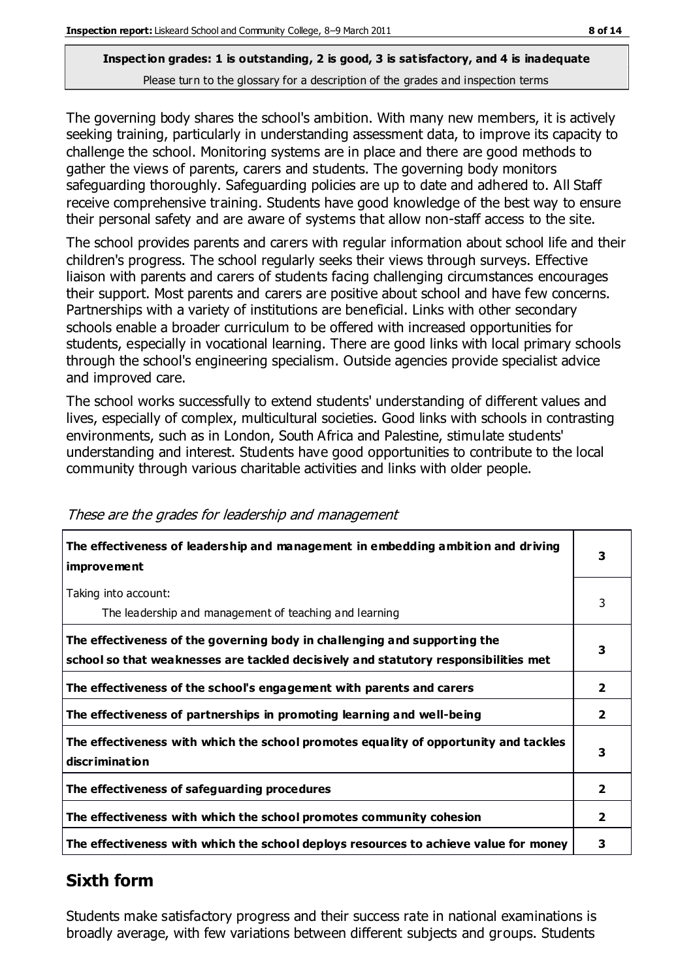The governing body shares the school's ambition. With many new members, it is actively seeking training, particularly in understanding assessment data, to improve its capacity to challenge the school. Monitoring systems are in place and there are good methods to gather the views of parents, carers and students. The governing body monitors safeguarding thoroughly. Safeguarding policies are up to date and adhered to. All Staff receive comprehensive training. Students have good knowledge of the best way to ensure their personal safety and are aware of systems that allow non-staff access to the site.

The school provides parents and carers with regular information about school life and their children's progress. The school regularly seeks their views through surveys. Effective liaison with parents and carers of students facing challenging circumstances encourages their support. Most parents and carers are positive about school and have few concerns. Partnerships with a variety of institutions are beneficial. Links with other secondary schools enable a broader curriculum to be offered with increased opportunities for students, especially in vocational learning. There are good links with local primary schools through the school's engineering specialism. Outside agencies provide specialist advice and improved care.

The school works successfully to extend students' understanding of different values and lives, especially of complex, multicultural societies. Good links with schools in contrasting environments, such as in London, South Africa and Palestine, stimulate students' understanding and interest. Students have good opportunities to contribute to the local community through various charitable activities and links with older people.

| The effectiveness of leadership and management in embedding ambition and driving<br>improvement                                                                  | 3              |
|------------------------------------------------------------------------------------------------------------------------------------------------------------------|----------------|
| Taking into account:<br>The leadership and management of teaching and learning                                                                                   | 3              |
| The effectiveness of the governing body in challenging and supporting the<br>school so that weaknesses are tackled decisively and statutory responsibilities met | 3              |
| The effectiveness of the school's engagement with parents and carers                                                                                             | $\mathbf{2}$   |
| The effectiveness of partnerships in promoting learning and well-being                                                                                           | $\overline{2}$ |
| The effectiveness with which the school promotes equality of opportunity and tackles<br>discrimination                                                           | 3              |
| The effectiveness of safeguarding procedures                                                                                                                     | $\overline{2}$ |
| The effectiveness with which the school promotes community cohesion                                                                                              | $\mathbf{2}$   |
| The effectiveness with which the school deploys resources to achieve value for money                                                                             | 3              |

#### These are the grades for leadership and management

# **Sixth form**

Students make satisfactory progress and their success rate in national examinations is broadly average, with few variations between different subjects and groups. Students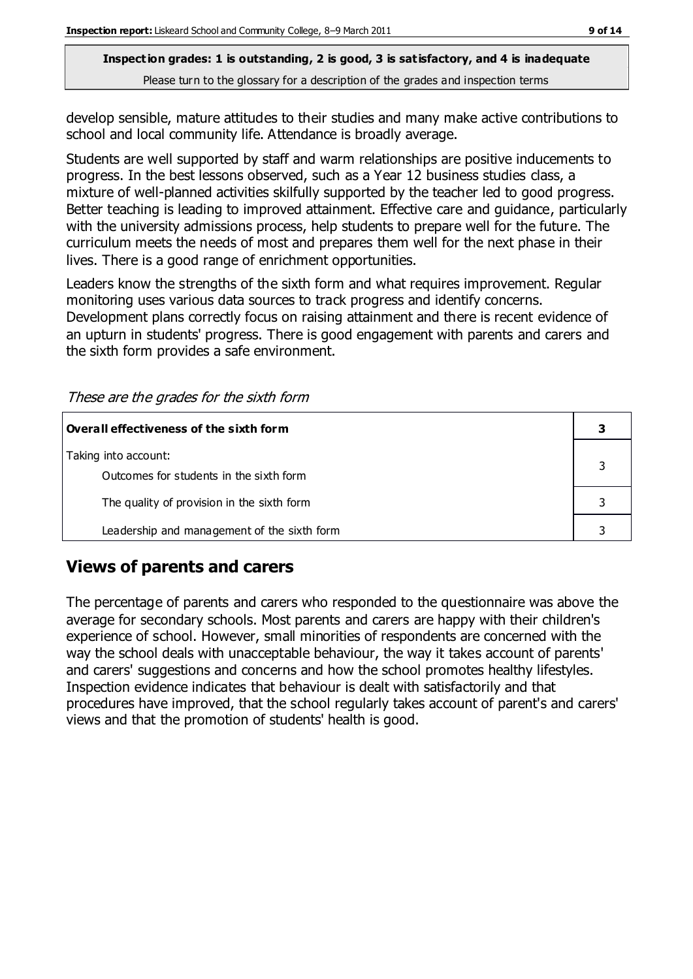develop sensible, mature attitudes to their studies and many make active contributions to school and local community life. Attendance is broadly average.

Students are well supported by staff and warm relationships are positive inducements to progress. In the best lessons observed, such as a Year 12 business studies class, a mixture of well-planned activities skilfully supported by the teacher led to good progress. Better teaching is leading to improved attainment. Effective care and guidance, particularly with the university admissions process, help students to prepare well for the future. The curriculum meets the needs of most and prepares them well for the next phase in their lives. There is a good range of enrichment opportunities.

Leaders know the strengths of the sixth form and what requires improvement. Regular monitoring uses various data sources to track progress and identify concerns. Development plans correctly focus on raising attainment and there is recent evidence of an upturn in students' progress. There is good engagement with parents and carers and the sixth form provides a safe environment.

| Overall effectiveness of the sixth form                         |  |
|-----------------------------------------------------------------|--|
| Taking into account:<br>Outcomes for students in the sixth form |  |
| The quality of provision in the sixth form                      |  |
| Leadership and management of the sixth form                     |  |

These are the grades for the sixth form

# **Views of parents and carers**

The percentage of parents and carers who responded to the questionnaire was above the average for secondary schools. Most parents and carers are happy with their children's experience of school. However, small minorities of respondents are concerned with the way the school deals with unacceptable behaviour, the way it takes account of parents' and carers' suggestions and concerns and how the school promotes healthy lifestyles. Inspection evidence indicates that behaviour is dealt with satisfactorily and that procedures have improved, that the school regularly takes account of parent's and carers' views and that the promotion of students' health is good.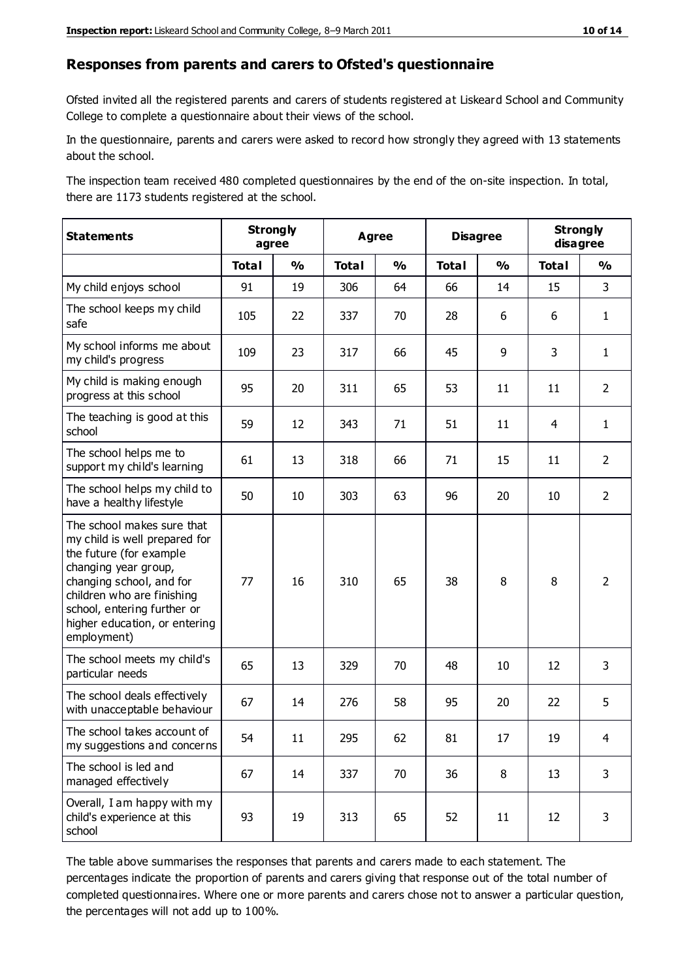#### **Responses from parents and carers to Ofsted's questionnaire**

Ofsted invited all the registered parents and carers of students registered at Liskeard School and Community College to complete a questionnaire about their views of the school.

In the questionnaire, parents and carers were asked to record how strongly they agreed with 13 statements about the school.

The inspection team received 480 completed questionnaires by the end of the on-site inspection. In total, there are 1173 students registered at the school.

| <b>Statements</b>                                                                                                                                                                                                                                       | <b>Strongly</b><br>agree |               | <b>Agree</b> |               | <b>Disagree</b> |               | <b>Strongly</b><br>disagree |                |
|---------------------------------------------------------------------------------------------------------------------------------------------------------------------------------------------------------------------------------------------------------|--------------------------|---------------|--------------|---------------|-----------------|---------------|-----------------------------|----------------|
|                                                                                                                                                                                                                                                         | <b>Total</b>             | $\frac{1}{2}$ | <b>Total</b> | $\frac{0}{0}$ | <b>Total</b>    | $\frac{1}{2}$ | <b>Total</b>                | $\frac{0}{0}$  |
| My child enjoys school                                                                                                                                                                                                                                  | 91                       | 19            | 306          | 64            | 66              | 14            | 15                          | 3              |
| The school keeps my child<br>safe                                                                                                                                                                                                                       | 105                      | 22            | 337          | 70            | 28              | 6             | 6                           | $\mathbf{1}$   |
| My school informs me about<br>my child's progress                                                                                                                                                                                                       | 109                      | 23            | 317          | 66            | 45              | 9             | 3                           | $\mathbf{1}$   |
| My child is making enough<br>progress at this school                                                                                                                                                                                                    | 95                       | 20            | 311          | 65            | 53              | 11            | 11                          | $\overline{2}$ |
| The teaching is good at this<br>school                                                                                                                                                                                                                  | 59                       | 12            | 343          | 71            | 51              | 11            | 4                           | $\mathbf{1}$   |
| The school helps me to<br>support my child's learning                                                                                                                                                                                                   | 61                       | 13            | 318          | 66            | 71              | 15            | 11                          | $\overline{2}$ |
| The school helps my child to<br>have a healthy lifestyle                                                                                                                                                                                                | 50                       | 10            | 303          | 63            | 96              | 20            | 10                          | $\overline{2}$ |
| The school makes sure that<br>my child is well prepared for<br>the future (for example<br>changing year group,<br>changing school, and for<br>children who are finishing<br>school, entering further or<br>higher education, or entering<br>employment) | 77                       | 16            | 310          | 65            | 38              | 8             | 8                           | $\overline{2}$ |
| The school meets my child's<br>particular needs                                                                                                                                                                                                         | 65                       | 13            | 329          | 70            | 48              | 10            | 12                          | 3              |
| The school deals effectively<br>with unacceptable behaviour                                                                                                                                                                                             | 67                       | 14            | 276          | 58            | 95              | 20            | 22                          | 5              |
| The school takes account of<br>my suggestions and concerns                                                                                                                                                                                              | 54                       | 11            | 295          | 62            | 81              | 17            | 19                          | 4              |
| The school is led and<br>managed effectively                                                                                                                                                                                                            | 67                       | 14            | 337          | 70            | 36              | 8             | 13                          | 3              |
| Overall, I am happy with my<br>child's experience at this<br>school                                                                                                                                                                                     | 93                       | 19            | 313          | 65            | 52              | 11            | 12                          | 3              |

The table above summarises the responses that parents and carers made to each statement. The percentages indicate the proportion of parents and carers giving that response out of the total number of completed questionnaires. Where one or more parents and carers chose not to answer a particular question, the percentages will not add up to 100%.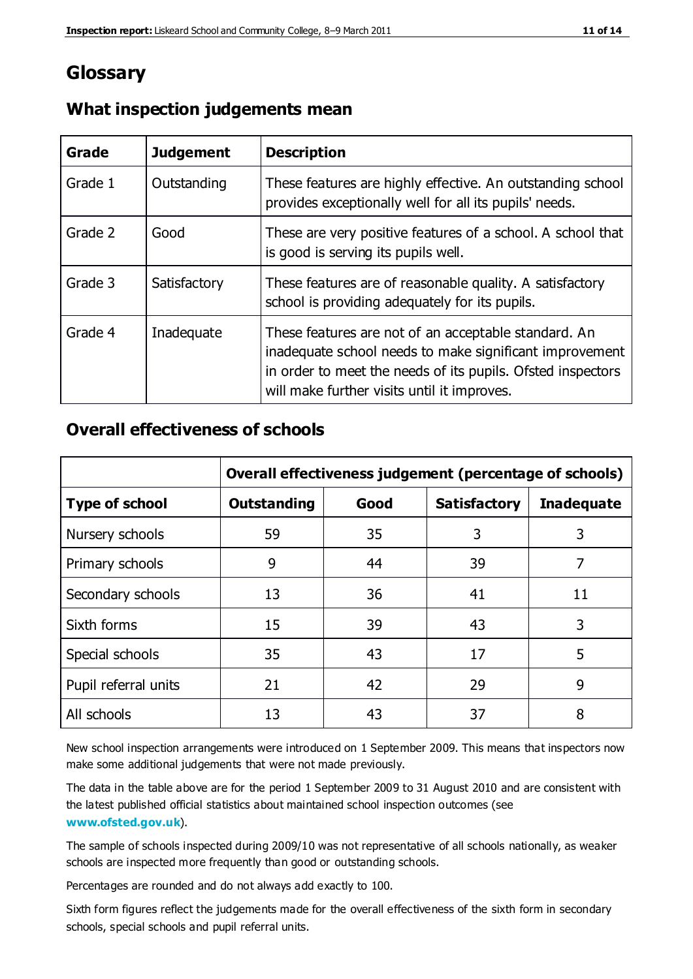# **Glossary**

| Grade   | <b>Judgement</b> | <b>Description</b>                                                                                                                                                                                                            |
|---------|------------------|-------------------------------------------------------------------------------------------------------------------------------------------------------------------------------------------------------------------------------|
| Grade 1 | Outstanding      | These features are highly effective. An outstanding school<br>provides exceptionally well for all its pupils' needs.                                                                                                          |
| Grade 2 | Good             | These are very positive features of a school. A school that<br>is good is serving its pupils well.                                                                                                                            |
| Grade 3 | Satisfactory     | These features are of reasonable quality. A satisfactory<br>school is providing adequately for its pupils.                                                                                                                    |
| Grade 4 | Inadequate       | These features are not of an acceptable standard. An<br>inadequate school needs to make significant improvement<br>in order to meet the needs of its pupils. Ofsted inspectors<br>will make further visits until it improves. |

# **What inspection judgements mean**

# **Overall effectiveness of schools**

|                       | Overall effectiveness judgement (percentage of schools) |      |                     |                   |
|-----------------------|---------------------------------------------------------|------|---------------------|-------------------|
| <b>Type of school</b> | <b>Outstanding</b>                                      | Good | <b>Satisfactory</b> | <b>Inadequate</b> |
| Nursery schools       | 59                                                      | 35   | 3                   | 3                 |
| Primary schools       | 9                                                       | 44   | 39                  | 7                 |
| Secondary schools     | 13                                                      | 36   | 41                  | 11                |
| Sixth forms           | 15                                                      | 39   | 43                  | 3                 |
| Special schools       | 35                                                      | 43   | 17                  | 5                 |
| Pupil referral units  | 21                                                      | 42   | 29                  | 9                 |
| All schools           | 13                                                      | 43   | 37                  | 8                 |

New school inspection arrangements were introduced on 1 September 2009. This means that inspectors now make some additional judgements that were not made previously.

The data in the table above are for the period 1 September 2009 to 31 August 2010 and are consistent with the latest published official statistics about maintained school inspection outcomes (see **[www.ofsted.gov.uk](http://www.ofsted.gov.uk/)**).

The sample of schools inspected during 2009/10 was not representative of all schools nationally, as weaker schools are inspected more frequently than good or outstanding schools.

Percentages are rounded and do not always add exactly to 100.

Sixth form figures reflect the judgements made for the overall effectiveness of the sixth form in secondary schools, special schools and pupil referral units.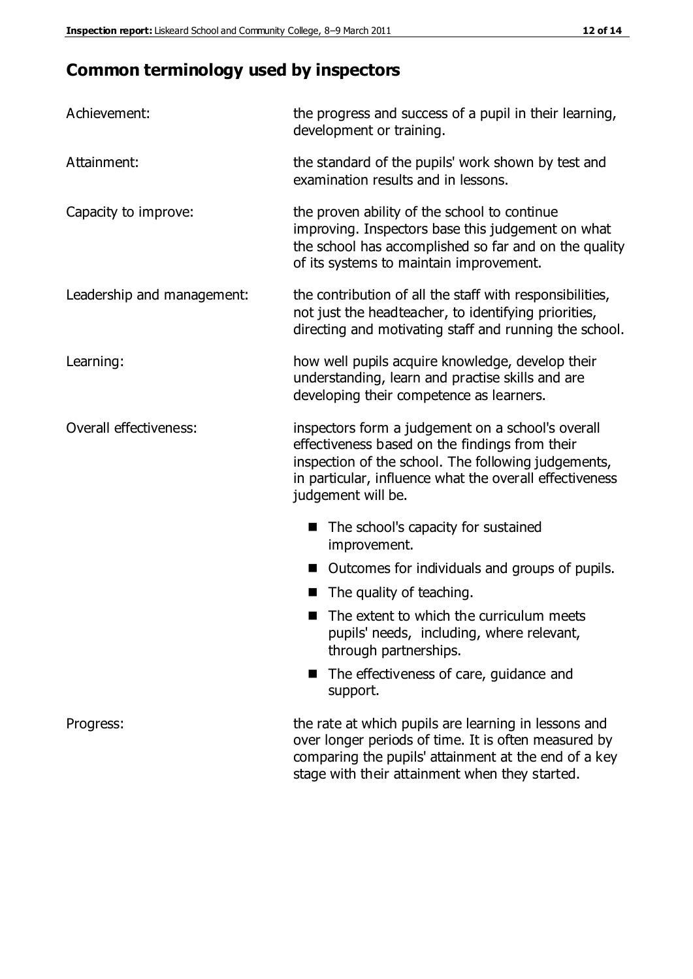# **Common terminology used by inspectors**

| Achievement:               | the progress and success of a pupil in their learning,<br>development or training.                                                                                                                                                          |
|----------------------------|---------------------------------------------------------------------------------------------------------------------------------------------------------------------------------------------------------------------------------------------|
| Attainment:                | the standard of the pupils' work shown by test and<br>examination results and in lessons.                                                                                                                                                   |
| Capacity to improve:       | the proven ability of the school to continue<br>improving. Inspectors base this judgement on what<br>the school has accomplished so far and on the quality<br>of its systems to maintain improvement.                                       |
| Leadership and management: | the contribution of all the staff with responsibilities,<br>not just the headteacher, to identifying priorities,<br>directing and motivating staff and running the school.                                                                  |
| Learning:                  | how well pupils acquire knowledge, develop their<br>understanding, learn and practise skills and are<br>developing their competence as learners.                                                                                            |
| Overall effectiveness:     | inspectors form a judgement on a school's overall<br>effectiveness based on the findings from their<br>inspection of the school. The following judgements,<br>in particular, influence what the overall effectiveness<br>judgement will be. |
|                            | The school's capacity for sustained<br>improvement.                                                                                                                                                                                         |
|                            | Outcomes for individuals and groups of pupils.                                                                                                                                                                                              |
|                            | The quality of teaching.                                                                                                                                                                                                                    |
|                            | The extent to which the curriculum meets<br>pupils' needs, including, where relevant,<br>through partnerships.                                                                                                                              |
|                            | The effectiveness of care, guidance and<br>support.                                                                                                                                                                                         |
| Progress:                  | the rate at which pupils are learning in lessons and<br>over longer periods of time. It is often measured by<br>comparing the pupils' attainment at the end of a key                                                                        |

stage with their attainment when they started.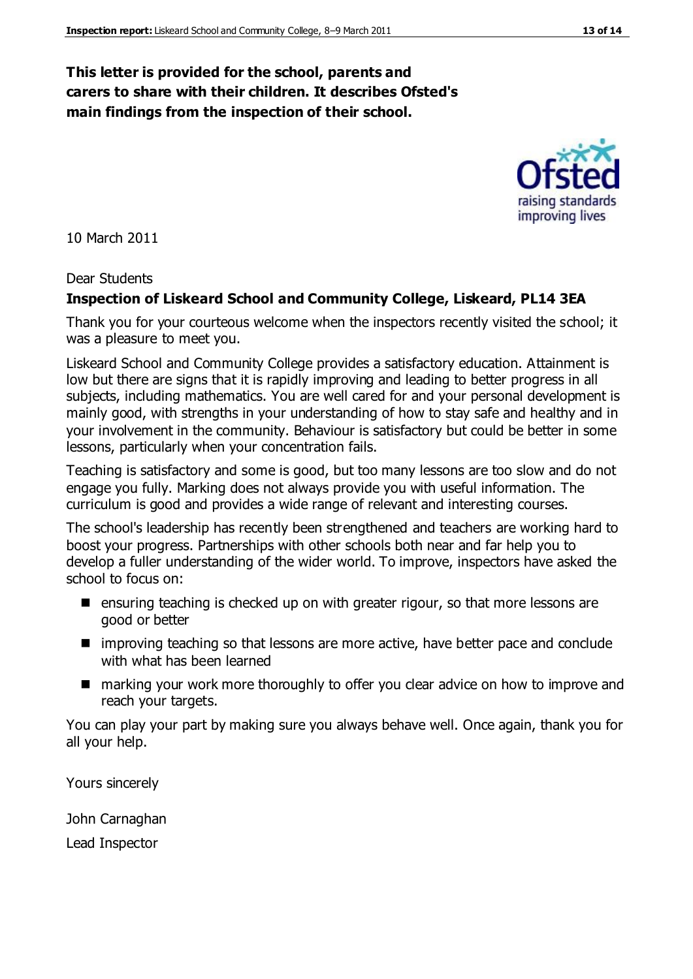## **This letter is provided for the school, parents and carers to share with their children. It describes Ofsted's main findings from the inspection of their school.**

10 March 2011

#### Dear Students

#### **Inspection of Liskeard School and Community College, Liskeard, PL14 3EA**

Thank you for your courteous welcome when the inspectors recently visited the school; it was a pleasure to meet you.

Liskeard School and Community College provides a satisfactory education. Attainment is low but there are signs that it is rapidly improving and leading to better progress in all subjects, including mathematics. You are well cared for and your personal development is mainly good, with strengths in your understanding of how to stay safe and healthy and in your involvement in the community. Behaviour is satisfactory but could be better in some lessons, particularly when your concentration fails.

Teaching is satisfactory and some is good, but too many lessons are too slow and do not engage you fully. Marking does not always provide you with useful information. The curriculum is good and provides a wide range of relevant and interesting courses.

The school's leadership has recently been strengthened and teachers are working hard to boost your progress. Partnerships with other schools both near and far help you to develop a fuller understanding of the wider world. To improve, inspectors have asked the school to focus on:

- ensuring teaching is checked up on with greater rigour, so that more lessons are good or better
- **If** improving teaching so that lessons are more active, have better pace and conclude with what has been learned
- marking your work more thoroughly to offer you clear advice on how to improve and reach your targets.

You can play your part by making sure you always behave well. Once again, thank you for all your help.

Yours sincerely

John Carnaghan

Lead Inspector